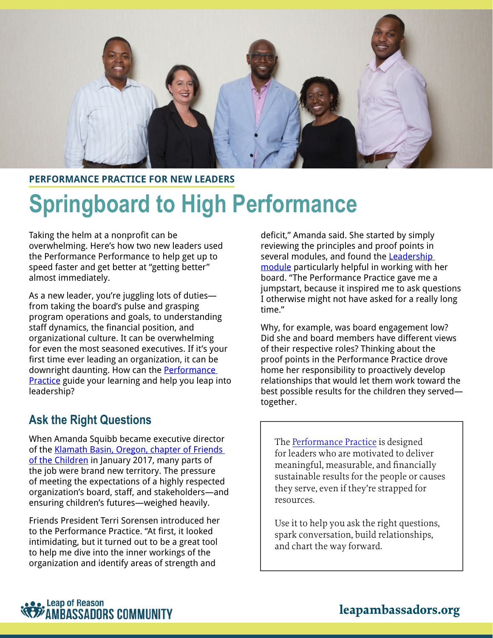

#### **PERFORMANCE PRACTICE FOR NEW LEADERS**

# **Springboard to High Performance**

Taking the helm at a nonprofit can be overwhelming. Here's how two new leaders used the Performance Performance to help get up to speed faster and get better at "getting better" almost immediately.

As a new leader, you're juggling lots of duties from taking the board's pulse and grasping program operations and goals, to understanding staff dynamics, the financial position, and organizational culture. It can be overwhelming for even the most seasoned executives. If it's your first time ever leading an organization, it can be downright daunting. How can the **Performance Practice** guide your learning and help you leap into leadership?

#### **Ask the Right Questions**

When Amanda Squibb became executive director of the [Klamath Basin, Oregon, chapter of Friends](http://www.friendsklamath.org/)  [of the Children](http://www.friendsklamath.org/) in January 2017, many parts of the job were brand new territory. The pressure of meeting the expectations of a highly respected organization's board, staff, and stakeholders—and ensuring children's futures—weighed heavily.

Friends President Terri Sorensen introduced her to the Performance Practice. "At first, it looked intimidating, but it turned out to be a great tool to help me dive into the inner workings of the organization and identify areas of strength and

deficit," Amanda said. She started by simply reviewing the principles and proof points in several modules, and found the [Leadership](https://leapambassadors.org/products/piosa/learning-module-leadership/)  [module](https://leapambassadors.org/products/piosa/learning-module-leadership/) particularly helpful in working with her board. "The Performance Practice gave me a jumpstart, because it inspired me to ask questions I otherwise might not have asked for a really long time."

Why, for example, was board engagement low? Did she and board members have different views of their respective roles? Thinking about the proof points in the Performance Practice drove home her responsibility to proactively develop relationships that would let them work toward the best possible results for the children they served together.

The [Performa](https://leapambassadors.org/products/performance-practice/)nce Practice is designed for leaders who are motivated to deliver meaningful, measurable, and financially sustainable results for the people or causes they serve, even if they're strapped for resources.

Use it to help you ask the right questions, spark conversation, build relationships, and chart the way forward.

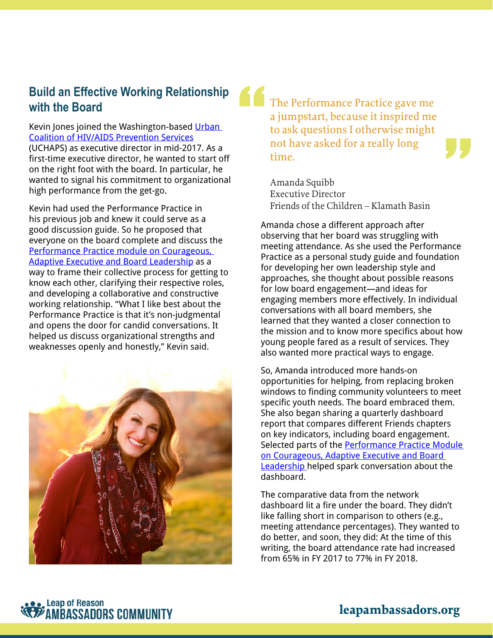### **Build an Effective Working Relationship with the Board**

Kevin Jones joined the Washington-based Urban [Coalition of HIV/AIDS Prevention Services](https://www.uchaps.org/) (UCHAPS) as executive director in mid-2017. As a first-time executive director, he wanted to start off on the right foot with the board. In particular, he wanted to signal his commitment to organizational high performance from the get-go.

Kevin had used the Performance Practice in his previous job and knew it could serve as a good discussion guide. So he proposed that everyone on the board complete and discuss the [Performance Practice module on Courageous,](https://leapambassadors.org/products/piosa/learning-module-leadership/)  [Adaptive Executive and Board Leadership](https://leapambassadors.org/products/piosa/learning-module-leadership/) as a way to frame their collective process for getting to know each other, clarifying their respective roles, and developing a collaborative and constructive working relationship. "What I like best about the Performance Practice is that it's non-judgmental and opens the door for candid conversations. It helped us discuss organizational strengths and weaknesses openly and honestly," Kevin said.



The Performance Practice gave me a jumpstart, because it inspired me to ask questions I otherwise might not have asked for a really long time.

"<br>"

"<br>"

Amanda Squibb Executive Director Friends of the Children – Klamath Basin

Amanda chose a different approach after observing that her board was struggling with meeting attendance. As she used the Performance Practice as a personal study guide and foundation for developing her own leadership style and approaches, she thought about possible reasons for low board engagement—and ideas for engaging members more effectively. In individual conversations with all board members, she learned that they wanted a closer connection to the mission and to know more specifics about how young people fared as a result of services. They also wanted more practical ways to engage.

So, Amanda introduced more hands-on opportunities for helping, from replacing broken windows to finding community volunteers to meet specific youth needs. The board embraced them. She also began sharing a quarterly dashboard report that compares different Friends chapters on key indicators, including board engagement. Selected parts of the Performance Practice Module on Courageous, Adaptive Executive and Board [Leadership](https://leapambassadors.org/products/piosa/learning-module-leadership/) helped spark conversation about the dashboard.

The comparative data from the network dashboard lit a fire under the board. They didn't like falling short in comparison to others (e.g., meeting attendance percentages). They wanted to do better, and soon, they did: At the time of this writing, the board attendance rate had increased from 65% in FY 2017 to 77% in FY 2018.



## **leapambassadors.org**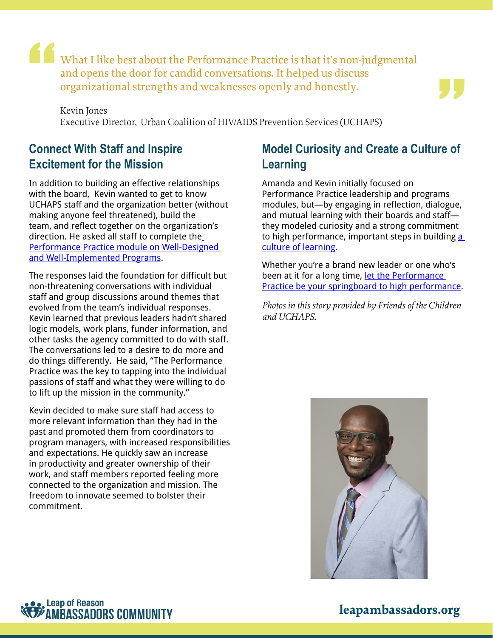What I like best about the Performance Practice is that it's non-judgmental and opens the door for candid conversations. It helped us discuss organizational strengths and weaknesses openly and honestly.

Kevin Jones Executive Director, Urban Coalition of HIV/AIDS Prevention Services (UCHAPS)

### **Connect With Staff and Inspire Excitement for the Mission**

"<br>"<br>"

In addition to building an effective relationships with the board, Kevin wanted to get to know UCHAPS staff and the organization better (without making anyone feel threatened), build the team, and reflect together on the organizat[io](https://leapambassadors.org/products/piosa/learning-module-programs-strategies/)n's direction. He asked all staff to complete the [Performance Practice module on Well-Designed](https://leapambassadors.org/products/piosa/learning-module-programs-strategies/)  [and Well-Implemented Programs](https://leapambassadors.org/products/piosa/learning-module-programs-strategies/).

The responses laid the foundation for difficult but non-threatening conversations with individual staff and group discussions around themes that evolved from the team's individual responses. Kevin learned that previous leaders hadn't shared logic models, work plans, funder information, and other tasks the agency committed to do with staff. The conversations led to a desire to do more and do things differently. He said, "The Performance Practice was the key to tapping into the individual passions of staff and what they were willing to do to lift up the mission in the community."

Kevin decided to make sure staff had access to more relevant information than they had in the past and promoted them from coordinators to program managers, with increased responsibilities and expectations. He quickly saw an increase in productivity and greater ownership of their work, and staff members reported feeling more connected to the organization and mission. The freedom to innovate seemed to bolster their commitment.

### **Model Curiosity and Create a Culture of Learning**

"<br>"

Amanda and Kevin initially focused on Performance Practice leadership and programs modules, but—by engaging in reflection, dialogue, and mutual learning with their boards and staff they modeled curiosity and a strong commitment to high performance, important steps in building a [culture of learning](https://leapambassadors.org/products/piosa/learning-module-learning-culture/).

Whether you're a brand new leader or one who's been at it for a long time, let the Performance [Practice be your springboard to high performance](https://leapambassadors.org/products/piosa/).

*Photos in this story provided by Friends of the Children and UCHAPS.*